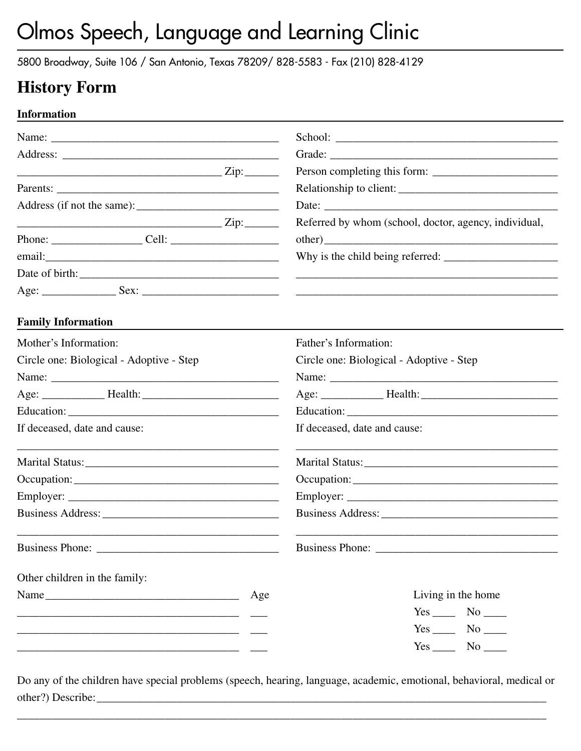5800 Broadway, Suite 106 / San Antonio, Texas 78209/ 828-5583 - Fax (210) 828-4129

## **History Form**

#### **Information**

|                                          |     | Person completing this form:                                                                                                                                                                                                  |
|------------------------------------------|-----|-------------------------------------------------------------------------------------------------------------------------------------------------------------------------------------------------------------------------------|
|                                          |     | Relationship to client:                                                                                                                                                                                                       |
|                                          |     |                                                                                                                                                                                                                               |
|                                          |     | Referred by whom (school, doctor, agency, individual,                                                                                                                                                                         |
|                                          |     | other)                                                                                                                                                                                                                        |
|                                          |     | Why is the child being referred:                                                                                                                                                                                              |
|                                          |     |                                                                                                                                                                                                                               |
|                                          |     |                                                                                                                                                                                                                               |
| <b>Family Information</b>                |     |                                                                                                                                                                                                                               |
| Mother's Information:                    |     | Father's Information:                                                                                                                                                                                                         |
| Circle one: Biological - Adoptive - Step |     | Circle one: Biological - Adoptive - Step                                                                                                                                                                                      |
|                                          |     | Name: Name and the same state of the same state of the same state of the same state of the same state of the same state of the same state of the same state of the same state of the same state of the same state of the same |
|                                          |     |                                                                                                                                                                                                                               |
|                                          |     |                                                                                                                                                                                                                               |
| If deceased, date and cause:             |     | If deceased, date and cause:                                                                                                                                                                                                  |
|                                          |     |                                                                                                                                                                                                                               |
|                                          |     |                                                                                                                                                                                                                               |
|                                          |     |                                                                                                                                                                                                                               |
|                                          |     |                                                                                                                                                                                                                               |
| <b>Business Phone:</b>                   |     | <b>Business Phone:</b>                                                                                                                                                                                                        |
| Other children in the family:            |     |                                                                                                                                                                                                                               |
|                                          | Age | Living in the home                                                                                                                                                                                                            |
|                                          |     | $Yes$ No _______                                                                                                                                                                                                              |
|                                          |     | $Yes$ No _______                                                                                                                                                                                                              |
|                                          |     |                                                                                                                                                                                                                               |

Do any of the children have special problems (speech, hearing, language, academic, emotional, behavioral, medical or other?) Describe:

\_\_\_\_\_\_\_\_\_\_\_\_\_\_\_\_\_\_\_\_\_\_\_\_\_\_\_\_\_\_\_\_\_\_\_\_\_\_\_\_\_\_\_\_\_\_\_\_\_\_\_\_\_\_\_\_\_\_\_\_\_\_\_\_\_\_\_\_\_\_\_\_\_\_\_\_\_\_\_\_\_\_\_\_\_\_\_\_\_\_\_\_\_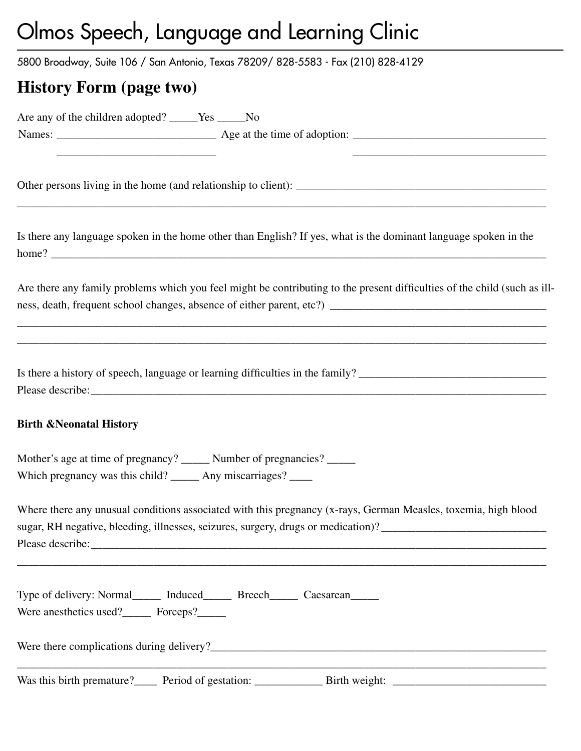5800 Broadway, Suite 106 / San Antonio, Texas 78209/ 828-5583 - Fax (210) 828-4129

## **History Form (page two)**

| Are any of the children adopted? _____Yes _____No                                                                                        |                                                                                                                                                                                                                                                                                                                       |
|------------------------------------------------------------------------------------------------------------------------------------------|-----------------------------------------------------------------------------------------------------------------------------------------------------------------------------------------------------------------------------------------------------------------------------------------------------------------------|
| <u> 1989 - Johann Stein, mars an deutscher Stein und der Stein und der Stein und der Stein und der Stein und der</u>                     |                                                                                                                                                                                                                                                                                                                       |
|                                                                                                                                          | Is there any language spoken in the home other than English? If yes, what is the dominant language spoken in the                                                                                                                                                                                                      |
|                                                                                                                                          | Are there any family problems which you feel might be contributing to the present difficulties of the child (such as ill-                                                                                                                                                                                             |
|                                                                                                                                          | Is there a history of speech, language or learning difficulties in the family?                                                                                                                                                                                                                                        |
| <b>Birth &amp; Neonatal History</b>                                                                                                      |                                                                                                                                                                                                                                                                                                                       |
| Mother's age at time of pregnancy? ______ Number of pregnancies? _____<br>Which pregnancy was this child? ______ Any miscarriages? _____ |                                                                                                                                                                                                                                                                                                                       |
|                                                                                                                                          | Where there any unusual conditions associated with this pregnancy (x-rays, German Measles, toxemia, high blood<br>sugar, RH negative, bleeding, illnesses, seizures, surgery, drugs or medication)? ____________________________<br>,我们也不能在这里的时候,我们也不能在这里的时候,我们也不能会在这里的时候,我们也不能会在这里的时候,我们也不能会在这里的时候,我们也不能会在这里的时候,我们也不 |
| Were anesthetics used? Forceps?                                                                                                          | Type of delivery: Normal_______ Induced________ Breech_______ Caesarean_______                                                                                                                                                                                                                                        |
|                                                                                                                                          |                                                                                                                                                                                                                                                                                                                       |
|                                                                                                                                          |                                                                                                                                                                                                                                                                                                                       |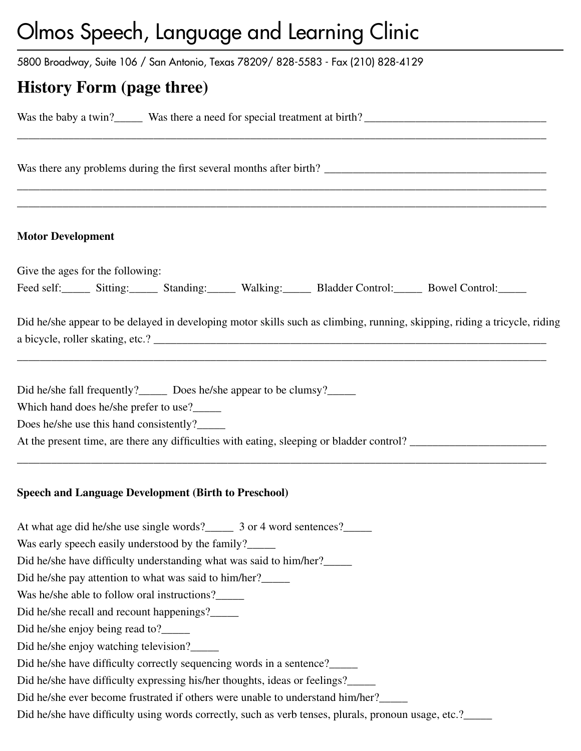5800 Broadway, Suite 106 / San Antonio, Texas 78209/ 828-5583 - Fax (210) 828-4129

## **History Form (page three)**

Was the baby a twin?\_\_\_\_\_ Was there a need for special treatment at birth? \_\_\_\_\_\_\_\_\_\_\_\_\_\_\_\_\_\_\_\_\_\_\_\_\_\_\_\_\_\_\_\_

Was there any problems during the first several months after birth? \_\_\_\_\_\_\_\_\_\_\_\_\_\_\_\_\_\_\_\_\_\_\_\_\_\_\_\_\_\_\_\_\_\_\_\_\_\_\_

#### **Motor Development**

Give the ages for the following: Feed self:\_\_\_\_\_\_ Sitting:\_\_\_\_\_\_ Standing:\_\_\_\_\_\_ Walking:\_\_\_\_\_\_ Bladder Control:\_\_\_\_\_\_ Bowel Control:\_\_\_\_\_

\_\_\_\_\_\_\_\_\_\_\_\_\_\_\_\_\_\_\_\_\_\_\_\_\_\_\_\_\_\_\_\_\_\_\_\_\_\_\_\_\_\_\_\_\_\_\_\_\_\_\_\_\_\_\_\_\_\_\_\_\_\_\_\_\_\_\_\_\_\_\_\_\_\_\_\_\_\_\_\_\_\_\_\_\_\_\_\_\_\_\_\_\_

\_\_\_\_\_\_\_\_\_\_\_\_\_\_\_\_\_\_\_\_\_\_\_\_\_\_\_\_\_\_\_\_\_\_\_\_\_\_\_\_\_\_\_\_\_\_\_\_\_\_\_\_\_\_\_\_\_\_\_\_\_\_\_\_\_\_\_\_\_\_\_\_\_\_\_\_\_\_\_\_\_\_\_\_\_\_\_\_\_\_\_\_\_ \_\_\_\_\_\_\_\_\_\_\_\_\_\_\_\_\_\_\_\_\_\_\_\_\_\_\_\_\_\_\_\_\_\_\_\_\_\_\_\_\_\_\_\_\_\_\_\_\_\_\_\_\_\_\_\_\_\_\_\_\_\_\_\_\_\_\_\_\_\_\_\_\_\_\_\_\_\_\_\_\_\_\_\_\_\_\_\_\_\_\_\_\_

Did he/she appear to be delayed in developing motor skills such as climbing, running, skipping, riding a tricycle, riding a bicycle, roller skating, etc.? \_\_\_\_\_\_\_\_\_\_\_\_\_\_\_\_\_\_\_\_\_\_\_\_\_\_\_\_\_\_\_\_\_\_\_\_\_\_\_\_\_\_\_\_\_\_\_\_\_\_\_\_\_\_\_\_\_\_\_\_\_\_\_\_\_\_\_\_\_

\_\_\_\_\_\_\_\_\_\_\_\_\_\_\_\_\_\_\_\_\_\_\_\_\_\_\_\_\_\_\_\_\_\_\_\_\_\_\_\_\_\_\_\_\_\_\_\_\_\_\_\_\_\_\_\_\_\_\_\_\_\_\_\_\_\_\_\_\_\_\_\_\_\_\_\_\_\_\_\_\_\_\_\_\_\_\_\_\_\_\_\_\_

\_\_\_\_\_\_\_\_\_\_\_\_\_\_\_\_\_\_\_\_\_\_\_\_\_\_\_\_\_\_\_\_\_\_\_\_\_\_\_\_\_\_\_\_\_\_\_\_\_\_\_\_\_\_\_\_\_\_\_\_\_\_\_\_\_\_\_\_\_\_\_\_\_\_\_\_\_\_\_\_\_\_\_\_\_\_\_\_\_\_\_\_\_

Did he/she fall frequently?\_\_\_\_\_\_ Does he/she appear to be clumsy?\_\_\_\_\_\_

Which hand does he/she prefer to use?

Does he/she use this hand consistently?\_\_\_\_\_\_

At the present time, are there any difficulties with eating, sleeping or bladder control?

#### **Speech and Language Development (Birth to Preschool)**

At what age did he/she use single words?\_\_\_\_\_\_ 3 or 4 word sentences?\_\_\_\_\_

Was early speech easily understood by the family?\_\_\_\_\_

Did he/she have difficulty understanding what was said to him/her?\_\_\_\_\_

Did he/she pay attention to what was said to him/her?\_\_\_\_\_

Was he/she able to follow oral instructions?

Did he/she recall and recount happenings?\_\_\_\_\_

Did he/she enjoy being read to?\_\_\_\_\_\_\_\_

Did he/she enjoy watching television?

Did he/she have difficulty correctly sequencing words in a sentence?\_\_\_\_\_\_\_\_\_\_\_\_\_

Did he/she have difficulty expressing his/her thoughts, ideas or feelings?\_\_\_\_\_\_

Did he/she ever become frustrated if others were unable to understand him/her?

Did he/she have difficulty using words correctly, such as verb tenses, plurals, pronoun usage, etc.?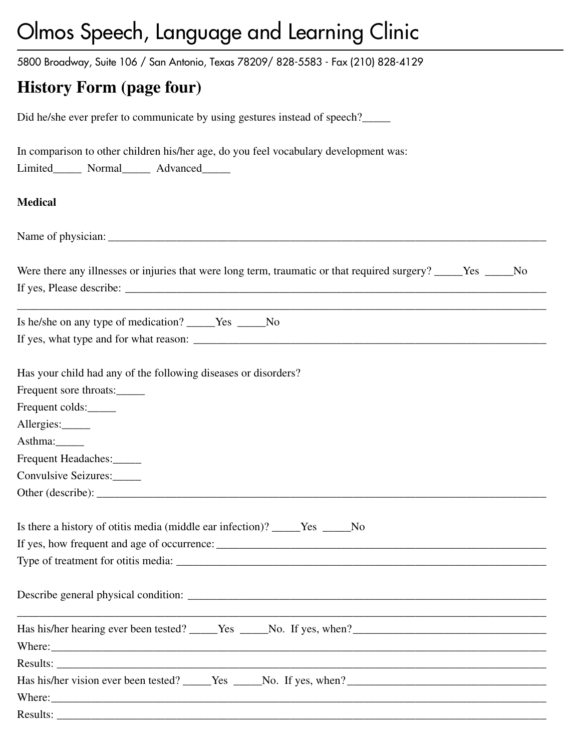5800 Broadway, Suite 106 / San Antonio, Texas 78209/ 828-5583 - Fax (210) 828-4129

## **History Form (page four)**

Did he/she ever prefer to communicate by using gestures instead of speech?

| In comparison to other children his/her age, do you feel vocabulary development was:                               |
|--------------------------------------------------------------------------------------------------------------------|
| Limited_______ Normal_______ Advanced______                                                                        |
| <b>Medical</b>                                                                                                     |
|                                                                                                                    |
| Were there any illnesses or injuries that were long term, traumatic or that required surgery? _____Yes _____No     |
| Is he/she on any type of medication? _____Yes _____No                                                              |
|                                                                                                                    |
| Has your child had any of the following diseases or disorders?<br>Frequent sore throats:                           |
| Frequent colds:                                                                                                    |
| Allergies:                                                                                                         |
| Asthma:                                                                                                            |
| Frequent Headaches:                                                                                                |
| Convulsive Seizures:                                                                                               |
|                                                                                                                    |
| Is there a history of otitis media (middle ear infection)? _____Yes _____No<br>Type of treatment for otitis media: |
|                                                                                                                    |
|                                                                                                                    |
|                                                                                                                    |
|                                                                                                                    |
|                                                                                                                    |
|                                                                                                                    |
|                                                                                                                    |
|                                                                                                                    |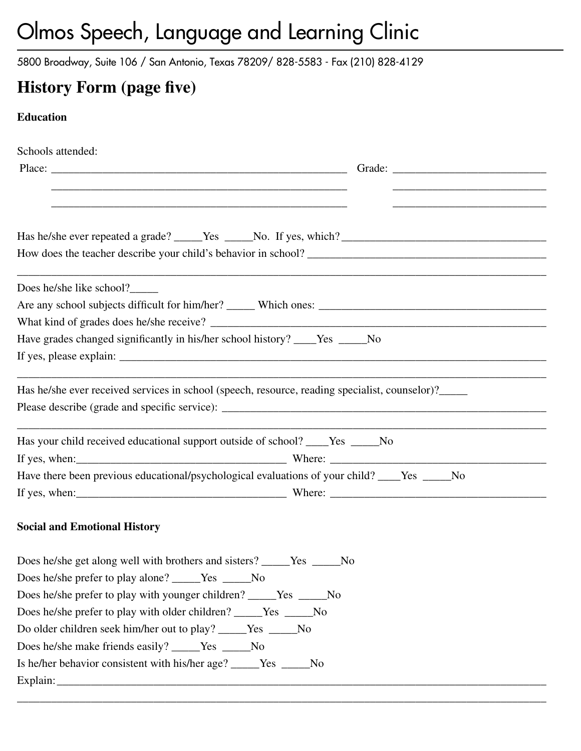5800 Broadway, Suite 106 / San Antonio, Texas 78209/ 828-5583 - Fax (210) 828-4129

## **History Form (page five)**

### **Education**

| Schools attended:                                                                                      |  |
|--------------------------------------------------------------------------------------------------------|--|
|                                                                                                        |  |
|                                                                                                        |  |
|                                                                                                        |  |
|                                                                                                        |  |
|                                                                                                        |  |
| the control of the control of the control of the control of the control of<br>Does he/she like school? |  |
|                                                                                                        |  |
|                                                                                                        |  |
| Have grades changed significantly in his/her school history? ____Yes _____No                           |  |
|                                                                                                        |  |
| Has he/she ever received services in school (speech, resource, reading specialist, counselor)?_____    |  |
|                                                                                                        |  |
| Has your child received educational support outside of school? ____Yes _____No                         |  |
|                                                                                                        |  |
| Have there been previous educational/psychological evaluations of your child? ____Yes _____No          |  |
|                                                                                                        |  |
| <b>Social and Emotional History</b>                                                                    |  |
| Does he/she get along well with brothers and sisters? _____Yes _____No                                 |  |
| Does he/she prefer to play alone? ______Yes _____No                                                    |  |
| Does he/she prefer to play with younger children? _____Yes _____No                                     |  |
| Does he/she prefer to play with older children? ______Yes ______No                                     |  |
| Do older children seek him/her out to play? _____Yes _____No                                           |  |
| Does he/she make friends easily? _____Yes _____No                                                      |  |
| Is he/her behavior consistent with his/her age? _____Yes _____No                                       |  |
|                                                                                                        |  |

\_\_\_\_\_\_\_\_\_\_\_\_\_\_\_\_\_\_\_\_\_\_\_\_\_\_\_\_\_\_\_\_\_\_\_\_\_\_\_\_\_\_\_\_\_\_\_\_\_\_\_\_\_\_\_\_\_\_\_\_\_\_\_\_\_\_\_\_\_\_\_\_\_\_\_\_\_\_\_\_\_\_\_\_\_\_\_\_\_\_\_\_\_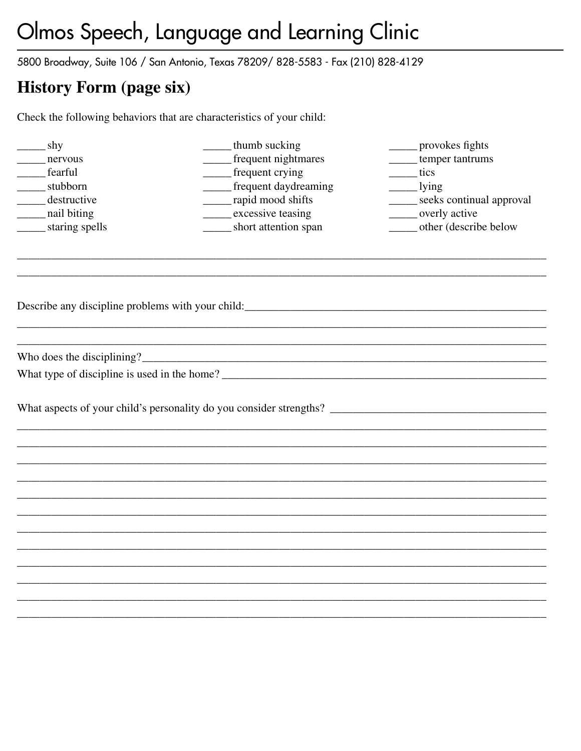5800 Broadway, Suite 106 / San Antonio, Texas 78209/828-5583 - Fax (210) 828-4129

## **History Form (page six)**

Check the following behaviors that are characteristics of your child:

| shy               | thumb sucking                                     | provokes fights          |
|-------------------|---------------------------------------------------|--------------------------|
| nervous           | frequent nightmares                               | temper tantrums          |
| fearful           | frequent crying                                   | $_{\text{tics}}$         |
| stubborn          | _____ frequent daydreaming                        | $\frac{1}{\text{ying}}$  |
| destructive       | _____ rapid mood shifts                           | seeks continual approval |
| _____ nail biting | excessive teasing                                 | overly active            |
| staring spells    | short attention span                              | other (describe below    |
|                   |                                                   |                          |
|                   |                                                   |                          |
|                   |                                                   |                          |
|                   | Describe any discipline problems with your child: |                          |
|                   |                                                   |                          |
|                   |                                                   |                          |
|                   | What type of discipline is used in the home?      |                          |
|                   |                                                   |                          |
|                   |                                                   |                          |
|                   |                                                   |                          |
|                   |                                                   |                          |
|                   |                                                   |                          |
|                   |                                                   |                          |
|                   |                                                   |                          |
|                   |                                                   |                          |
|                   |                                                   |                          |
|                   |                                                   |                          |
|                   |                                                   |                          |
|                   |                                                   |                          |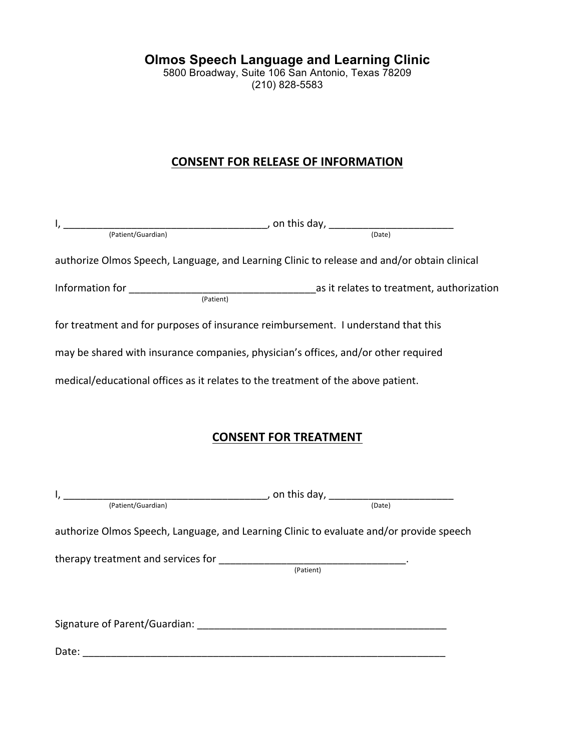5800 Broadway, Suite 106 San Antonio, Texas 78209 (210) 828-5583

### **CONSENT FOR RELEASE OF INFORMATION**

| $I, \underline{\hspace{1cm}}$ . This day, $\underline{\hspace{1cm}}$ (Patient/Guardian)     |  |
|---------------------------------------------------------------------------------------------|--|
| authorize Olmos Speech, Language, and Learning Clinic to release and and/or obtain clinical |  |
|                                                                                             |  |
| for treatment and for purposes of insurance reimbursement. I understand that this           |  |
| may be shared with insurance companies, physician's offices, and/or other required          |  |
| medical/educational offices as it relates to the treatment of the above patient.            |  |
| <b>CONSENT FOR TREATMENT</b>                                                                |  |
| $I, \underline{\hspace{2cm}}$ (Patient/Guardian) (Patient/Guardian) (Date)                  |  |
|                                                                                             |  |
| authorize Olmos Speech, Language, and Learning Clinic to evaluate and/or provide speech     |  |
|                                                                                             |  |
| Signature of Parent/Guardian: Sales and Superior and Superior Section 1997                  |  |
|                                                                                             |  |